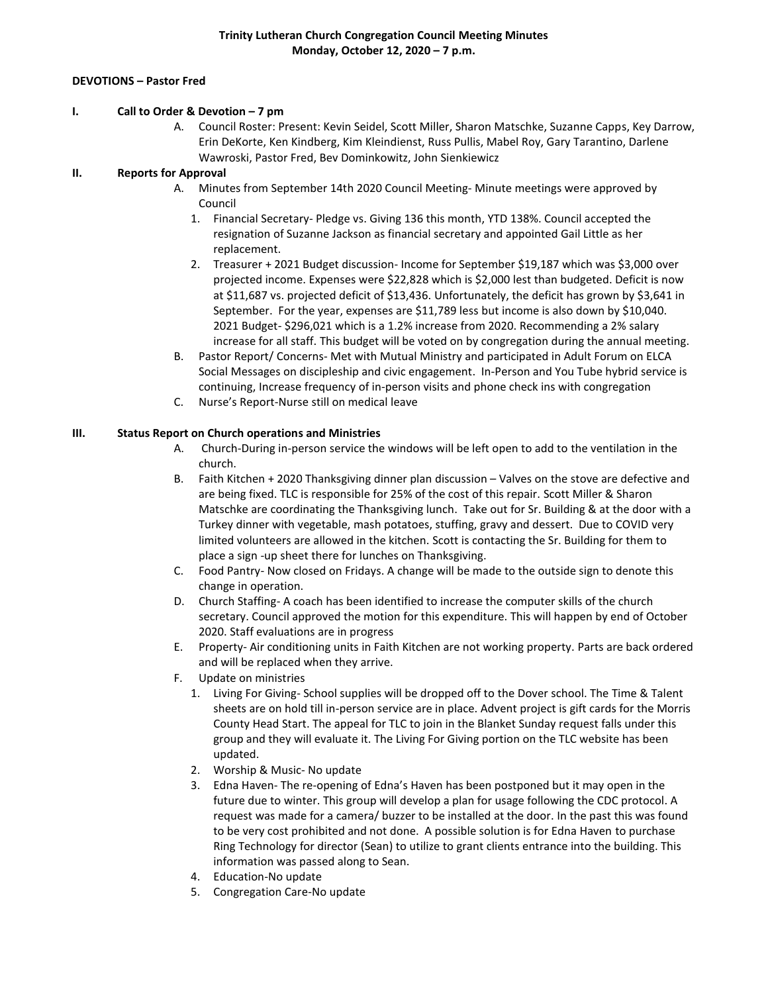### **DEVOTIONS – Pastor Fred**

#### **I. Call to Order & Devotion – 7 pm**

A. Council Roster: Present: Kevin Seidel, Scott Miller, Sharon Matschke, Suzanne Capps, Key Darrow, Erin DeKorte, Ken Kindberg, Kim Kleindienst, Russ Pullis, Mabel Roy, Gary Tarantino, Darlene Wawroski, Pastor Fred, Bev Dominkowitz, John Sienkiewicz

# **II. Reports for Approval**

- A. Minutes from September 14th 2020 Council Meeting- Minute meetings were approved by Council
	- 1. Financial Secretary- Pledge vs. Giving 136 this month, YTD 138%. Council accepted the resignation of Suzanne Jackson as financial secretary and appointed Gail Little as her replacement.
	- 2. Treasurer + 2021 Budget discussion- Income for September \$19,187 which was \$3,000 over projected income. Expenses were \$22,828 which is \$2,000 lest than budgeted. Deficit is now at \$11,687 vs. projected deficit of \$13,436. Unfortunately, the deficit has grown by \$3,641 in September. For the year, expenses are \$11,789 less but income is also down by \$10,040. 2021 Budget- \$296,021 which is a 1.2% increase from 2020. Recommending a 2% salary increase for all staff. This budget will be voted on by congregation during the annual meeting.
- B. Pastor Report/ Concerns- Met with Mutual Ministry and participated in Adult Forum on ELCA Social Messages on discipleship and civic engagement. In-Person and You Tube hybrid service is continuing, Increase frequency of in-person visits and phone check ins with congregation
- C. Nurse's Report-Nurse still on medical leave

### **III. Status Report on Church operations and Ministries**

- A. Church-During in-person service the windows will be left open to add to the ventilation in the church.
- B. Faith Kitchen + 2020 Thanksgiving dinner plan discussion Valves on the stove are defective and are being fixed. TLC is responsible for 25% of the cost of this repair. Scott Miller & Sharon Matschke are coordinating the Thanksgiving lunch. Take out for Sr. Building & at the door with a Turkey dinner with vegetable, mash potatoes, stuffing, gravy and dessert. Due to COVID very limited volunteers are allowed in the kitchen. Scott is contacting the Sr. Building for them to place a sign -up sheet there for lunches on Thanksgiving.
- C. Food Pantry- Now closed on Fridays. A change will be made to the outside sign to denote this change in operation.
- D. Church Staffing- A coach has been identified to increase the computer skills of the church secretary. Council approved the motion for this expenditure. This will happen by end of October 2020. Staff evaluations are in progress
- E. Property- Air conditioning units in Faith Kitchen are not working property. Parts are back ordered and will be replaced when they arrive.
- F. Update on ministries
	- 1. Living For Giving- School supplies will be dropped off to the Dover school. The Time & Talent sheets are on hold till in-person service are in place. Advent project is gift cards for the Morris County Head Start. The appeal for TLC to join in the Blanket Sunday request falls under this group and they will evaluate it. The Living For Giving portion on the TLC website has been updated.
	- 2. Worship & Music- No update
	- 3. Edna Haven- The re-opening of Edna's Haven has been postponed but it may open in the future due to winter. This group will develop a plan for usage following the CDC protocol. A request was made for a camera/ buzzer to be installed at the door. In the past this was found to be very cost prohibited and not done. A possible solution is for Edna Haven to purchase Ring Technology for director (Sean) to utilize to grant clients entrance into the building. This information was passed along to Sean.
	- 4. Education-No update
	- 5. Congregation Care-No update